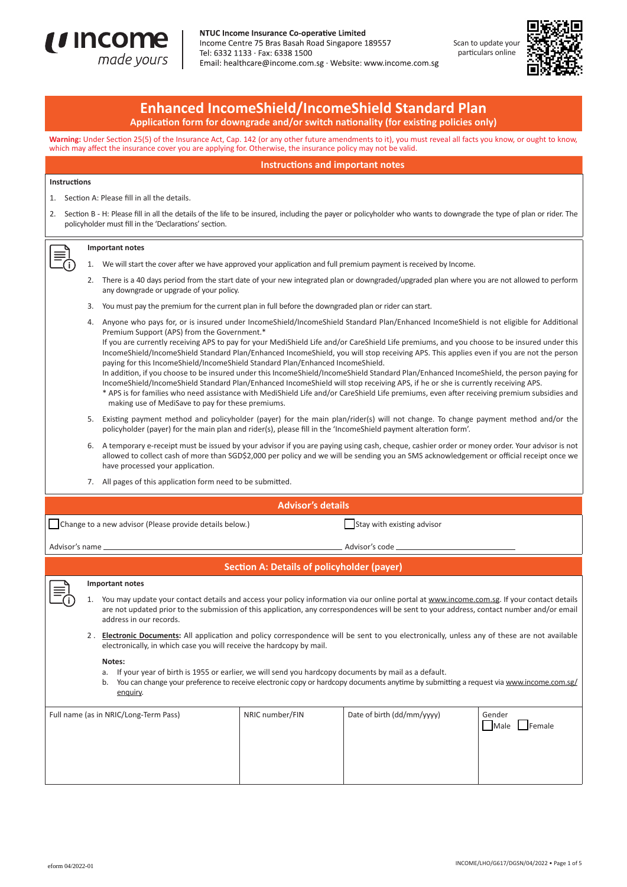

NTUC Income Insurance Co-operative Limited Income Centre 75 Bras Basah Road Singapore 189557 Tel: 6332 1133 · Fax: 6338 1500 Email: healthcare@income.com.sg · Website: www.income.com.sg





# **Enhanced IncomeShield/IncomeShield Standard Plan**

**Application form for downgrade and/or switch nationality (for existing policies only)**

**Warning:** Under Section 25(5) of the Insurance Act, Cap. 142 (or any other future amendments to it), you must reveal all facts you know, or ought to know, which may affect the insurance cover you are applying for. Otherwise, the insurance policy may not be valid.

**Instructions and important notes**

### **Instructions**

- 1. Section A: Please fill in all the details.
- 2. Section B H: Please fill in all the details of the life to be insured, including the payer or policyholder who wants to downgrade the type of plan or rider. The policyholder must fill in the 'Declarations' section.

## **Important notes**

- 1. We will start the cover after we have approved your application and full premium payment is received by Income.
- 2. There is a 40 days period from the start date of your new integrated plan or downgraded/upgraded plan where you are not allowed to perform any downgrade or upgrade of your policy.
- 3. You must pay the premium for the current plan in full before the downgraded plan or rider can start.
- 4. Anyone who pays for, or is insured under IncomeShield/IncomeShield Standard Plan/Enhanced IncomeShield is not eligible for Additional Premium Support (APS) from the Government.\* If you are currently receiving APS to pay for your MediShield Life and/or CareShield Life premiums, and you choose to be insured under this IncomeShield/IncomeShield Standard Plan/Enhanced IncomeShield, you will stop receiving APS. This applies even if you are not the person paying for this IncomeShield/IncomeShield Standard Plan/Enhanced IncomeShield.
	- In addition, if you choose to be insured under this IncomeShield/IncomeShield Standard Plan/Enhanced IncomeShield, the person paying for IncomeShield/IncomeShield Standard Plan/Enhanced IncomeShield will stop receiving APS, if he or she is currently receiving APS. \* APS is for families who need assistance with MediShield Life and/or CareShield Life premiums, even after receiving premium subsidies and
	- making use of MediSave to pay for these premiums.
- 5. Existing payment method and policyholder (payer) for the main plan/rider(s) will not change. To change payment method and/or the policyholder (payer) for the main plan and rider(s), please fill in the 'IncomeShield payment alteration form'.
- 6. A temporary e-receipt must be issued by your advisor if you are paying using cash, cheque, cashier order or money order. Your advisor is not allowed to collect cash of more than SGD\$2,000 per policy and we will be sending you an SMS acknowledgement or official receipt once we have processed your application.
- 7. All pages of this application form need to be submitted.

# **Advisor's details**

Change to a new advisor (Please provide details below.) Stay with existing advisor

Advisor's name Advisor's code

# **Section A: Details of policyholder (payer)**

#### **Important notes**

- 1. You may update your contact details and access your policy information via our online portal at www.income.com.sg. If your contact details are not updated prior to the submission of this application, any correspondences will be sent to your address, contact number and/or email address in our records.
- 2 . **Electronic Documents:** All application and policy correspondence will be sent to you electronically, unless any of these are not available electronically, in which case you will receive the hardcopy by mail.

#### **Notes:**

- a. If your year of birth is 1955 or earlier, we will send you hardcopy documents by mail as a default.
- b. You can change your preference to receive electronic copy or hardcopy documents anytime by submitting a request via www.income.com.sg/ enquiry.

| Full name (as in NRIC/Long-Term Pass) | NRIC number/FIN | Date of birth (dd/mm/yyyy) | Gender<br>$\Box$ Male<br>Female |
|---------------------------------------|-----------------|----------------------------|---------------------------------|
|                                       |                 |                            |                                 |
|                                       |                 |                            |                                 |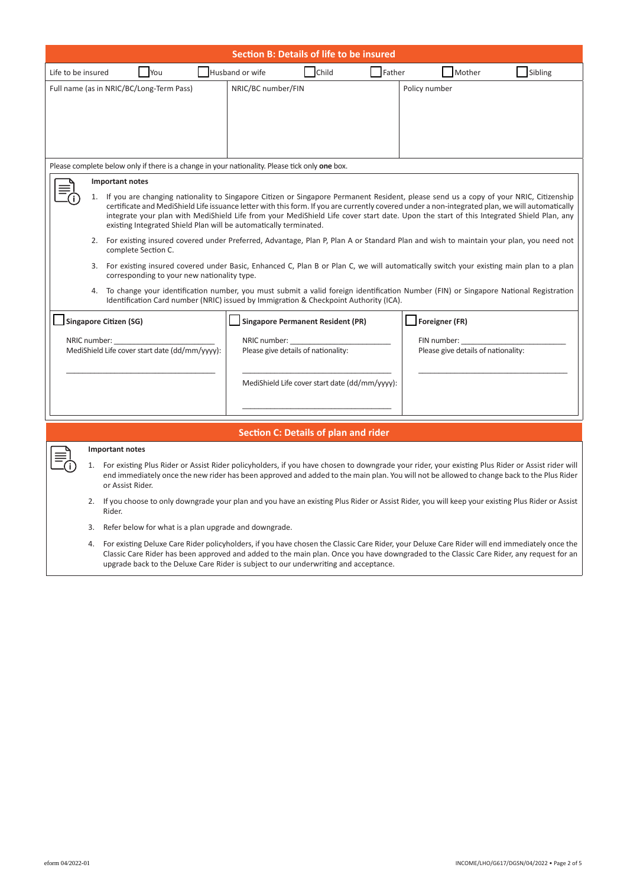| <b>Section B: Details of life to be insured</b>                                                                                                                                                                                                                                                                                                                                                                                                                                                             |                                                                                                                                                                                                                               |                                                                                                                                                                                                                                                                                               |  |  |  |  |
|-------------------------------------------------------------------------------------------------------------------------------------------------------------------------------------------------------------------------------------------------------------------------------------------------------------------------------------------------------------------------------------------------------------------------------------------------------------------------------------------------------------|-------------------------------------------------------------------------------------------------------------------------------------------------------------------------------------------------------------------------------|-----------------------------------------------------------------------------------------------------------------------------------------------------------------------------------------------------------------------------------------------------------------------------------------------|--|--|--|--|
| Life to be insured<br><b>You</b>                                                                                                                                                                                                                                                                                                                                                                                                                                                                            | Child<br>Husband or wife                                                                                                                                                                                                      | Father<br>Mother<br>Sibling                                                                                                                                                                                                                                                                   |  |  |  |  |
| Full name (as in NRIC/BC/Long-Term Pass)                                                                                                                                                                                                                                                                                                                                                                                                                                                                    | NRIC/BC number/FIN                                                                                                                                                                                                            | Policy number                                                                                                                                                                                                                                                                                 |  |  |  |  |
|                                                                                                                                                                                                                                                                                                                                                                                                                                                                                                             |                                                                                                                                                                                                                               |                                                                                                                                                                                                                                                                                               |  |  |  |  |
|                                                                                                                                                                                                                                                                                                                                                                                                                                                                                                             |                                                                                                                                                                                                                               |                                                                                                                                                                                                                                                                                               |  |  |  |  |
|                                                                                                                                                                                                                                                                                                                                                                                                                                                                                                             |                                                                                                                                                                                                                               |                                                                                                                                                                                                                                                                                               |  |  |  |  |
| Please complete below only if there is a change in your nationality. Please tick only one box.                                                                                                                                                                                                                                                                                                                                                                                                              |                                                                                                                                                                                                                               |                                                                                                                                                                                                                                                                                               |  |  |  |  |
| <b>Important notes</b>                                                                                                                                                                                                                                                                                                                                                                                                                                                                                      |                                                                                                                                                                                                                               |                                                                                                                                                                                                                                                                                               |  |  |  |  |
| 1. If you are changing nationality to Singapore Citizen or Singapore Permanent Resident, please send us a copy of your NRIC, Citizenship<br>certificate and MediShield Life issuance letter with this form. If you are currently covered under a non-integrated plan, we will automatically<br>integrate your plan with MediShield Life from your MediShield Life cover start date. Upon the start of this Integrated Shield Plan, any<br>existing Integrated Shield Plan will be automatically terminated. |                                                                                                                                                                                                                               |                                                                                                                                                                                                                                                                                               |  |  |  |  |
| complete Section C.                                                                                                                                                                                                                                                                                                                                                                                                                                                                                         | 2. For existing insured covered under Preferred, Advantage, Plan P, Plan A or Standard Plan and wish to maintain your plan, you need not                                                                                      |                                                                                                                                                                                                                                                                                               |  |  |  |  |
|                                                                                                                                                                                                                                                                                                                                                                                                                                                                                                             | 3. For existing insured covered under Basic, Enhanced C, Plan B or Plan C, we will automatically switch your existing main plan to a plan<br>corresponding to your new nationality type.                                      |                                                                                                                                                                                                                                                                                               |  |  |  |  |
| 4.                                                                                                                                                                                                                                                                                                                                                                                                                                                                                                          | To change your identification number, you must submit a valid foreign identification Number (FIN) or Singapore National Registration<br>Identification Card number (NRIC) issued by Immigration & Checkpoint Authority (ICA). |                                                                                                                                                                                                                                                                                               |  |  |  |  |
| <b>Singapore Citizen (SG)</b>                                                                                                                                                                                                                                                                                                                                                                                                                                                                               | <b>Singapore Permanent Resident (PR)</b>                                                                                                                                                                                      | Foreigner (FR)                                                                                                                                                                                                                                                                                |  |  |  |  |
| NRIC number:                                                                                                                                                                                                                                                                                                                                                                                                                                                                                                | NRIC number:                                                                                                                                                                                                                  | FIN number:                                                                                                                                                                                                                                                                                   |  |  |  |  |
| MediShield Life cover start date (dd/mm/yyyy):                                                                                                                                                                                                                                                                                                                                                                                                                                                              | Please give details of nationality:                                                                                                                                                                                           | Please give details of nationality:                                                                                                                                                                                                                                                           |  |  |  |  |
|                                                                                                                                                                                                                                                                                                                                                                                                                                                                                                             | MediShield Life cover start date (dd/mm/yyyy):                                                                                                                                                                                |                                                                                                                                                                                                                                                                                               |  |  |  |  |
|                                                                                                                                                                                                                                                                                                                                                                                                                                                                                                             |                                                                                                                                                                                                                               |                                                                                                                                                                                                                                                                                               |  |  |  |  |
| <b>Section C: Details of plan and rider</b>                                                                                                                                                                                                                                                                                                                                                                                                                                                                 |                                                                                                                                                                                                                               |                                                                                                                                                                                                                                                                                               |  |  |  |  |
| Important notes                                                                                                                                                                                                                                                                                                                                                                                                                                                                                             |                                                                                                                                                                                                                               |                                                                                                                                                                                                                                                                                               |  |  |  |  |
| 1.<br>or Assist Rider.                                                                                                                                                                                                                                                                                                                                                                                                                                                                                      |                                                                                                                                                                                                                               | For existing Plus Rider or Assist Rider policyholders, if you have chosen to downgrade your rider, your existing Plus Rider or Assist rider will<br>end immediately once the new rider has been approved and added to the main plan. You will not be allowed to change back to the Plus Rider |  |  |  |  |
| Rider.                                                                                                                                                                                                                                                                                                                                                                                                                                                                                                      |                                                                                                                                                                                                                               | 2. If you choose to only downgrade your plan and you have an existing Plus Rider or Assist Rider, you will keep your existing Plus Rider or Assist                                                                                                                                            |  |  |  |  |

- 3. Refer below for what is a plan upgrade and downgrade.
- 4. For existing Deluxe Care Rider policyholders, if you have chosen the Classic Care Rider, your Deluxe Care Rider will end immediately once the Classic Care Rider has been approved and added to the main plan. Once you have downgraded to the Classic Care Rider, any request for an upgrade back to the Deluxe Care Rider is subject to our underwriting and acceptance.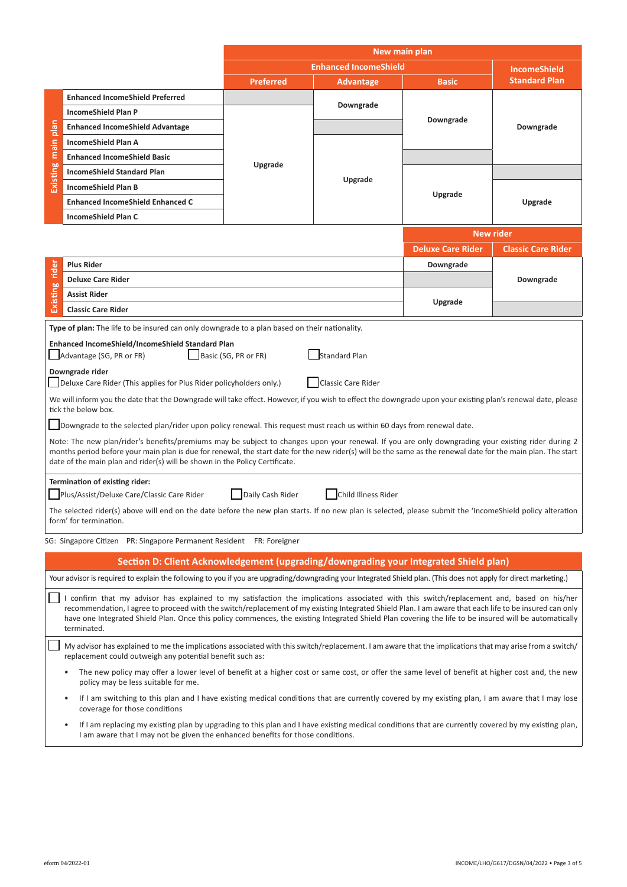|                                                                                                                                                                                                                                                                                                                                                                                                                                                                              |                                                                                                                                                                                                                                                    | New main plan                |                           |                          |                           |  |
|------------------------------------------------------------------------------------------------------------------------------------------------------------------------------------------------------------------------------------------------------------------------------------------------------------------------------------------------------------------------------------------------------------------------------------------------------------------------------|----------------------------------------------------------------------------------------------------------------------------------------------------------------------------------------------------------------------------------------------------|------------------------------|---------------------------|--------------------------|---------------------------|--|
|                                                                                                                                                                                                                                                                                                                                                                                                                                                                              |                                                                                                                                                                                                                                                    | <b>Enhanced IncomeShield</b> |                           |                          | <b>IncomeShield</b>       |  |
|                                                                                                                                                                                                                                                                                                                                                                                                                                                                              |                                                                                                                                                                                                                                                    | <b>Preferred</b>             | Advantage                 | <b>Basic</b>             | <b>Standard Plan</b>      |  |
| Existing main plan                                                                                                                                                                                                                                                                                                                                                                                                                                                           | <b>Enhanced IncomeShield Preferred</b>                                                                                                                                                                                                             |                              | Downgrade                 | Downgrade                | Downgrade                 |  |
|                                                                                                                                                                                                                                                                                                                                                                                                                                                                              | <b>IncomeShield Plan P</b>                                                                                                                                                                                                                         |                              |                           |                          |                           |  |
|                                                                                                                                                                                                                                                                                                                                                                                                                                                                              | <b>Enhanced IncomeShield Advantage</b>                                                                                                                                                                                                             | Upgrade                      |                           |                          |                           |  |
|                                                                                                                                                                                                                                                                                                                                                                                                                                                                              | <b>IncomeShield Plan A</b>                                                                                                                                                                                                                         |                              | Upgrade                   |                          |                           |  |
|                                                                                                                                                                                                                                                                                                                                                                                                                                                                              | <b>Enhanced IncomeShield Basic</b>                                                                                                                                                                                                                 |                              |                           |                          |                           |  |
|                                                                                                                                                                                                                                                                                                                                                                                                                                                                              | <b>IncomeShield Standard Plan</b>                                                                                                                                                                                                                  |                              |                           | Upgrade                  |                           |  |
|                                                                                                                                                                                                                                                                                                                                                                                                                                                                              | <b>IncomeShield Plan B</b>                                                                                                                                                                                                                         |                              |                           |                          |                           |  |
|                                                                                                                                                                                                                                                                                                                                                                                                                                                                              | <b>Enhanced IncomeShield Enhanced C</b>                                                                                                                                                                                                            |                              |                           |                          | Upgrade                   |  |
|                                                                                                                                                                                                                                                                                                                                                                                                                                                                              | <b>IncomeShield Plan C</b>                                                                                                                                                                                                                         |                              |                           |                          |                           |  |
|                                                                                                                                                                                                                                                                                                                                                                                                                                                                              |                                                                                                                                                                                                                                                    |                              |                           | <b>New rider</b>         |                           |  |
|                                                                                                                                                                                                                                                                                                                                                                                                                                                                              |                                                                                                                                                                                                                                                    |                              |                           | <b>Deluxe Care Rider</b> | <b>Classic Care Rider</b> |  |
|                                                                                                                                                                                                                                                                                                                                                                                                                                                                              | <b>Plus Rider</b>                                                                                                                                                                                                                                  |                              |                           | Downgrade                |                           |  |
| Existing rider                                                                                                                                                                                                                                                                                                                                                                                                                                                               | <b>Deluxe Care Rider</b>                                                                                                                                                                                                                           |                              |                           |                          | Downgrade                 |  |
|                                                                                                                                                                                                                                                                                                                                                                                                                                                                              | <b>Assist Rider</b>                                                                                                                                                                                                                                |                              |                           | Upgrade                  |                           |  |
|                                                                                                                                                                                                                                                                                                                                                                                                                                                                              | <b>Classic Care Rider</b>                                                                                                                                                                                                                          |                              |                           |                          |                           |  |
|                                                                                                                                                                                                                                                                                                                                                                                                                                                                              | Type of plan: The life to be insured can only downgrade to a plan based on their nationality.                                                                                                                                                      |                              |                           |                          |                           |  |
| Enhanced IncomeShield/IncomeShield Standard Plan<br>Standard Plan<br>Advantage (SG, PR or FR)<br>Basic (SG, PR or FR)<br>Downgrade rider                                                                                                                                                                                                                                                                                                                                     |                                                                                                                                                                                                                                                    |                              |                           |                          |                           |  |
|                                                                                                                                                                                                                                                                                                                                                                                                                                                                              | Deluxe Care Rider (This applies for Plus Rider policyholders only.)                                                                                                                                                                                |                              | <b>Classic Care Rider</b> |                          |                           |  |
|                                                                                                                                                                                                                                                                                                                                                                                                                                                                              | We will inform you the date that the Downgrade will take effect. However, if you wish to effect the downgrade upon your existing plan's renewal date, please<br>tick the below box.                                                                |                              |                           |                          |                           |  |
|                                                                                                                                                                                                                                                                                                                                                                                                                                                                              | Downgrade to the selected plan/rider upon policy renewal. This request must reach us within 60 days from renewal date.                                                                                                                             |                              |                           |                          |                           |  |
| Note: The new plan/rider's benefits/premiums may be subject to changes upon your renewal. If you are only downgrading your existing rider during 2<br>months period before your main plan is due for renewal, the start date for the new rider(s) will be the same as the renewal date for the main plan. The start<br>date of the main plan and rider(s) will be shown in the Policy Certificate.                                                                           |                                                                                                                                                                                                                                                    |                              |                           |                          |                           |  |
|                                                                                                                                                                                                                                                                                                                                                                                                                                                                              | Termination of existing rider:                                                                                                                                                                                                                     |                              |                           |                          |                           |  |
|                                                                                                                                                                                                                                                                                                                                                                                                                                                                              | Plus/Assist/Deluxe Care/Classic Care Rider                                                                                                                                                                                                         | Daily Cash Rider             | Child Illness Rider       |                          |                           |  |
| The selected rider(s) above will end on the date before the new plan starts. If no new plan is selected, please submit the 'IncomeShield policy alteration<br>form' for termination.                                                                                                                                                                                                                                                                                         |                                                                                                                                                                                                                                                    |                              |                           |                          |                           |  |
|                                                                                                                                                                                                                                                                                                                                                                                                                                                                              | SG: Singapore Citizen PR: Singapore Permanent Resident FR: Foreigner                                                                                                                                                                               |                              |                           |                          |                           |  |
|                                                                                                                                                                                                                                                                                                                                                                                                                                                                              | Section D: Client Acknowledgement (upgrading/downgrading your Integrated Shield plan)                                                                                                                                                              |                              |                           |                          |                           |  |
|                                                                                                                                                                                                                                                                                                                                                                                                                                                                              | Your advisor is required to explain the following to you if you are upgrading/downgrading your Integrated Shield plan. (This does not apply for direct marketing.)                                                                                 |                              |                           |                          |                           |  |
| I confirm that my advisor has explained to my satisfaction the implications associated with this switch/replacement and, based on his/her<br>recommendation, I agree to proceed with the switch/replacement of my existing Integrated Shield Plan. I am aware that each life to be insured can only<br>have one Integrated Shield Plan. Once this policy commences, the existing Integrated Shield Plan covering the life to be insured will be automatically<br>terminated. |                                                                                                                                                                                                                                                    |                              |                           |                          |                           |  |
| My advisor has explained to me the implications associated with this switch/replacement. I am aware that the implications that may arise from a switch/<br>replacement could outweigh any potential benefit such as:                                                                                                                                                                                                                                                         |                                                                                                                                                                                                                                                    |                              |                           |                          |                           |  |
| The new policy may offer a lower level of benefit at a higher cost or same cost, or offer the same level of benefit at higher cost and, the new<br>policy may be less suitable for me.                                                                                                                                                                                                                                                                                       |                                                                                                                                                                                                                                                    |                              |                           |                          |                           |  |
|                                                                                                                                                                                                                                                                                                                                                                                                                                                                              | If I am switching to this plan and I have existing medical conditions that are currently covered by my existing plan, I am aware that I may lose<br>$\bullet$<br>coverage for those conditions                                                     |                              |                           |                          |                           |  |
|                                                                                                                                                                                                                                                                                                                                                                                                                                                                              | If I am replacing my existing plan by upgrading to this plan and I have existing medical conditions that are currently covered by my existing plan,<br>$\bullet$<br>I am aware that I may not be given the enhanced benefits for those conditions. |                              |                           |                          |                           |  |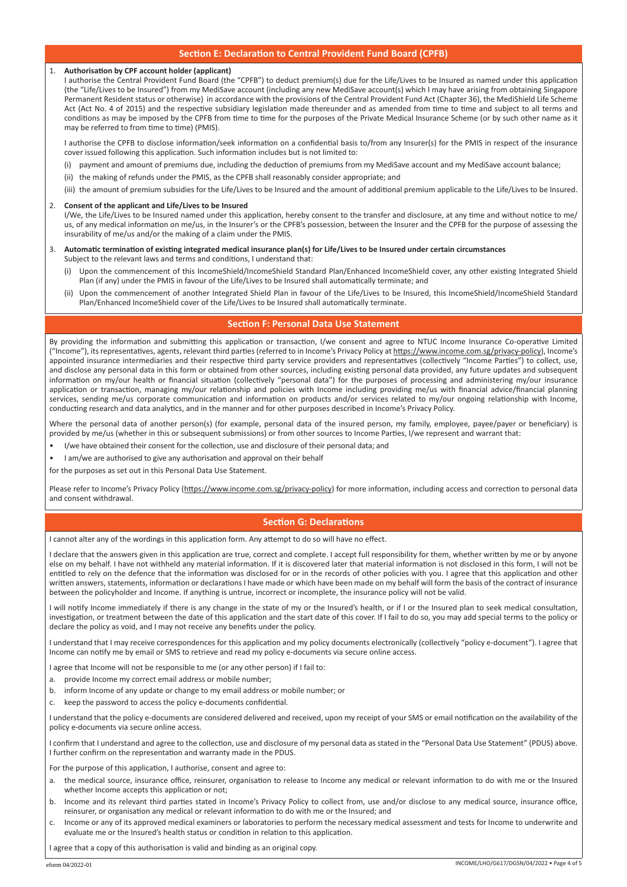# **Section E: Declaration to Central Provident Fund Board (CPFB)**

### 1. **Authorisation by CPF account holder (applicant)**

I authorise the Central Provident Fund Board (the "CPFB") to deduct premium(s) due for the Life/Lives to be Insured as named under this application (the "Life/Lives to be Insured") from my MediSave account (including any new MediSave account(s) which I may have arising from obtaining Singapore Permanent Resident status or otherwise) in accordance with the provisions of the Central Provident Fund Act (Chapter 36), the MediShield Life Scheme Act (Act No. 4 of 2015) and the respective subsidiary legislation made thereunder and as amended from time to time and subject to all terms and conditions as may be imposed by the CPFB from time to time for the purposes of the Private Medical Insurance Scheme (or by such other name as it may be referred to from time to time) (PMIS).

I authorise the CPFB to disclose information/seek information on a confidential basis to/from any Insurer(s) for the PMIS in respect of the insurance cover issued following this application. Such information includes but is not limited to:

- (i) payment and amount of premiums due, including the deduction of premiums from my MediSave account and my MediSave account balance;
- (ii) the making of refunds under the PMIS, as the CPFB shall reasonably consider appropriate; and
- (iii) the amount of premium subsidies for the Life/Lives to be Insured and the amount of additional premium applicable to the Life/Lives to be Insured.

#### 2. **Consent of the applicant and Life/Lives to be Insured**

I/We, the Life/Lives to be Insured named under this application, hereby consent to the transfer and disclosure, at any time and without notice to me/ us, of any medical information on me/us, in the Insurer's or the CPFB's possession, between the Insurer and the CPFB for the purpose of assessing the insurability of me/us and/or the making of a claim under the PMIS.

- 3. **Automatic termination of existing integrated medical insurance plan(s) for Life/Lives to be Insured under certain circumstances** Subject to the relevant laws and terms and conditions, I understand that:
	- (i) Upon the commencement of this IncomeShield/IncomeShield Standard Plan/Enhanced IncomeShield cover, any other existing Integrated Shield Plan (if any) under the PMIS in favour of the Life/Lives to be Insured shall automatically terminate; and
	- (ii) Upon the commencement of another Integrated Shield Plan in favour of the Life/Lives to be Insured, this IncomeShield/IncomeShield Standard Plan/Enhanced IncomeShield cover of the Life/Lives to be Insured shall automatically terminate.

# **Section F: Personal Data Use Statement**

By providing the information and submitting this application or transaction, I/we consent and agree to NTUC Income Insurance Co-operative Limited ("Income"), its representatives, agents, relevant third parties (referred to in Income's Privacy Policy at https://www.income.com.sg/privacy-policy), Income's appointed insurance intermediaries and their respective third party service providers and representatives (collectively "Income Parties") to collect, use, and disclose any personal data in this form or obtained from other sources, including existing personal data provided, any future updates and subsequent information on my/our health or financial situation (collectively "personal data") for the purposes of processing and administering my/our insurance application or transaction, managing my/our relationship and policies with Income including providing me/us with financial advice/financial planning services, sending me/us corporate communication and information on products and/or services related to my/our ongoing relationship with Income, conducting research and data analytics, and in the manner and for other purposes described in Income's Privacy Policy.

Where the personal data of another person(s) (for example, personal data of the insured person, my family, employee, payee/payer or beneficiary) is provided by me/us (whether in this or subsequent submissions) or from other sources to Income Parties, I/we represent and warrant that:

- I/we have obtained their consent for the collection, use and disclosure of their personal data; and
- I am/we are authorised to give any authorisation and approval on their behalf

for the purposes as set out in this Personal Data Use Statement.

Please refer to Income's Privacy Policy (https://www.income.com.sg/privacy-policy) for more information, including access and correction to personal data and consent withdrawal.

# **Section G: Declarations**

I cannot alter any of the wordings in this application form. Any attempt to do so will have no effect.

I declare that the answers given in this application are true, correct and complete. I accept full responsibility for them, whether written by me or by anyone else on my behalf. I have not withheld any material information. If it is discovered later that material information is not disclosed in this form, I will not be entitled to rely on the defence that the information was disclosed for or in the records of other policies with you. I agree that this application and other written answers, statements, information or declarations I have made or which have been made on my behalf will form the basis of the contract of insurance between the policyholder and Income. If anything is untrue, incorrect or incomplete, the insurance policy will not be valid.

I will notify Income immediately if there is any change in the state of my or the Insured's health, or if I or the Insured plan to seek medical consultation, investigation, or treatment between the date of this application and the start date of this cover. If I fail to do so, you may add special terms to the policy or declare the policy as void, and I may not receive any benefits under the policy.

I understand that I may receive correspondences for this application and my policy documents electronically (collectively "policy e-document"). I agree that Income can notify me by email or SMS to retrieve and read my policy e-documents via secure online access.

I agree that Income will not be responsible to me (or any other person) if I fail to:

- a. provide Income my correct email address or mobile number;
- b. inform Income of any update or change to my email address or mobile number; or
- keep the password to access the policy e-documents confidential.

I understand that the policy e-documents are considered delivered and received, upon my receipt of your SMS or email notification on the availability of the policy e-documents via secure online access.

I confirm that I understand and agree to the collection, use and disclosure of my personal data as stated in the "Personal Data Use Statement" (PDUS) above. I further confirm on the representation and warranty made in the PDUS.

For the purpose of this application, I authorise, consent and agree to:

- a. the medical source, insurance office, reinsurer, organisation to release to Income any medical or relevant information to do with me or the Insured whether Income accepts this application or not;
- b. Income and its relevant third parties stated in Income's Privacy Policy to collect from, use and/or disclose to any medical source, insurance office, reinsurer, or organisation any medical or relevant information to do with me or the Insured; and
- c. Income or any of its approved medical examiners or laboratories to perform the necessary medical assessment and tests for Income to underwrite and evaluate me or the Insured's health status or condition in relation to this application.

I agree that a copy of this authorisation is valid and binding as an original copy.